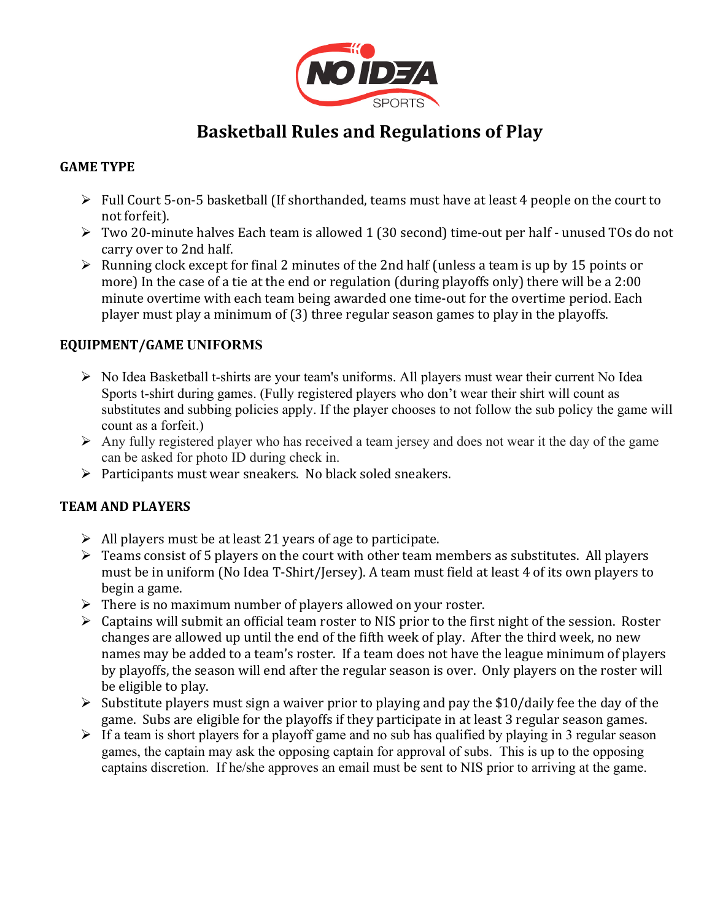

# **Basketball Rules and Regulations of Play**

# **GAME TYPE**

- $\triangleright$  Full Court 5-on-5 basketball (If shorthanded, teams must have at least 4 people on the court to not forfeit).
- $\triangleright$  Two 20-minute halves Each team is allowed 1 (30 second) time-out per half unused TOs do not carry over to 2nd half.
- $\triangleright$  Running clock except for final 2 minutes of the 2nd half (unless a team is up by 15 points or more) In the case of a tie at the end or regulation (during playoffs only) there will be a 2:00 minute overtime with each team being awarded one time-out for the overtime period. Each player must play a minimum of  $(3)$  three regular season games to play in the playoffs.

### **EQUIPMENT/GAME UNIFORMS**

- Ø No Idea Basketball t-shirts are your team's uniforms. All players must wear their current No Idea Sports t-shirt during games. (Fully registered players who don't wear their shirt will count as substitutes and subbing policies apply. If the player chooses to not follow the sub policy the game will count as a forfeit.)
- $\triangleright$  Any fully registered player who has received a team jersey and does not wear it the day of the game can be asked for photo ID during check in.
- $\triangleright$  Participants must wear sneakers. No black soled sneakers.

### **TEAM AND PLAYERS**

- $\triangleright$  All players must be at least 21 years of age to participate.
- $\triangleright$  Teams consist of 5 players on the court with other team members as substitutes. All players must be in uniform (No Idea T-Shirt/Jersey). A team must field at least 4 of its own players to begin a game.
- $\triangleright$  There is no maximum number of players allowed on your roster.
- $\triangleright$  Captains will submit an official team roster to NIS prior to the first night of the session. Roster changes are allowed up until the end of the fifth week of play. After the third week, no new names may be added to a team's roster. If a team does not have the league minimum of plavers by playoffs, the season will end after the regular season is over. Only players on the roster will be eligible to play.
- $\triangleright$  Substitute players must sign a waiver prior to playing and pay the \$10/daily fee the day of the game. Subs are eligible for the playoffs if they participate in at least 3 regular season games.
- $\triangleright$  If a team is short players for a playoff game and no sub has qualified by playing in 3 regular season games, the captain may ask the opposing captain for approval of subs. This is up to the opposing captains discretion. If he/she approves an email must be sent to NIS prior to arriving at the game.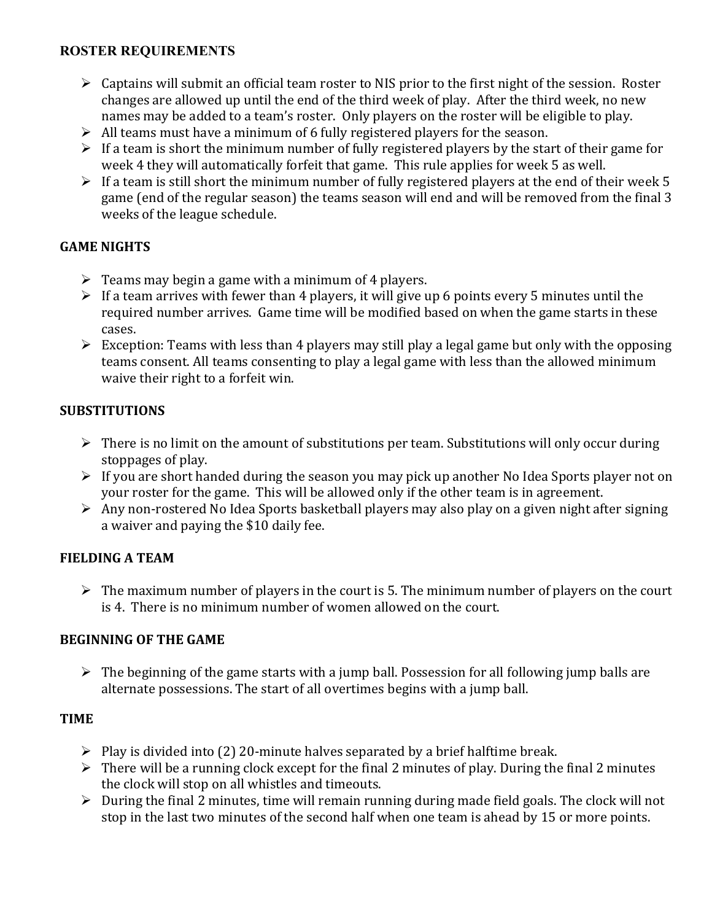# **ROSTER REQUIREMENTS**

- $\triangleright$  Captains will submit an official team roster to NIS prior to the first night of the session. Roster changes are allowed up until the end of the third week of play. After the third week, no new names may be added to a team's roster. Only players on the roster will be eligible to play.
- $\triangleright$  All teams must have a minimum of 6 fully registered players for the season.
- $\triangleright$  If a team is short the minimum number of fully registered players by the start of their game for week 4 they will automatically forfeit that game. This rule applies for week 5 as well.
- $\triangleright$  If a team is still short the minimum number of fully registered players at the end of their week 5 game (end of the regular season) the teams season will end and will be removed from the final 3 weeks of the league schedule.

### **GAME NIGHTS**

- $\triangleright$  Teams may begin a game with a minimum of 4 players.
- $\triangleright$  If a team arrives with fewer than 4 players, it will give up 6 points every 5 minutes until the required number arrives. Game time will be modified based on when the game starts in these cases.
- $\triangleright$  Exception: Teams with less than 4 players may still play a legal game but only with the opposing teams consent. All teams consenting to play a legal game with less than the allowed minimum waive their right to a forfeit win.

### **SUBSTITUTIONS**

- $\triangleright$  There is no limit on the amount of substitutions per team. Substitutions will only occur during stoppages of play.
- $\triangleright$  If you are short handed during the season you may pick up another No Idea Sports player not on your roster for the game. This will be allowed only if the other team is in agreement.
- $\triangleright$  Any non-rostered No Idea Sports basketball players may also play on a given night after signing a waiver and paying the \$10 daily fee.

### **FIELDING A TEAM**

 $\triangleright$  The maximum number of players in the court is 5. The minimum number of players on the court is 4. There is no minimum number of women allowed on the court.

### **BEGINNING OF THE GAME**

 $\triangleright$  The beginning of the game starts with a jump ball. Possession for all following jump balls are alternate possessions. The start of all overtimes begins with a jump ball.

### **TIME**

- $\triangleright$  Play is divided into (2) 20-minute halves separated by a brief halftime break.
- $\triangleright$  There will be a running clock except for the final 2 minutes of play. During the final 2 minutes the clock will stop on all whistles and timeouts.
- $\triangleright$  During the final 2 minutes, time will remain running during made field goals. The clock will not stop in the last two minutes of the second half when one team is ahead by 15 or more points.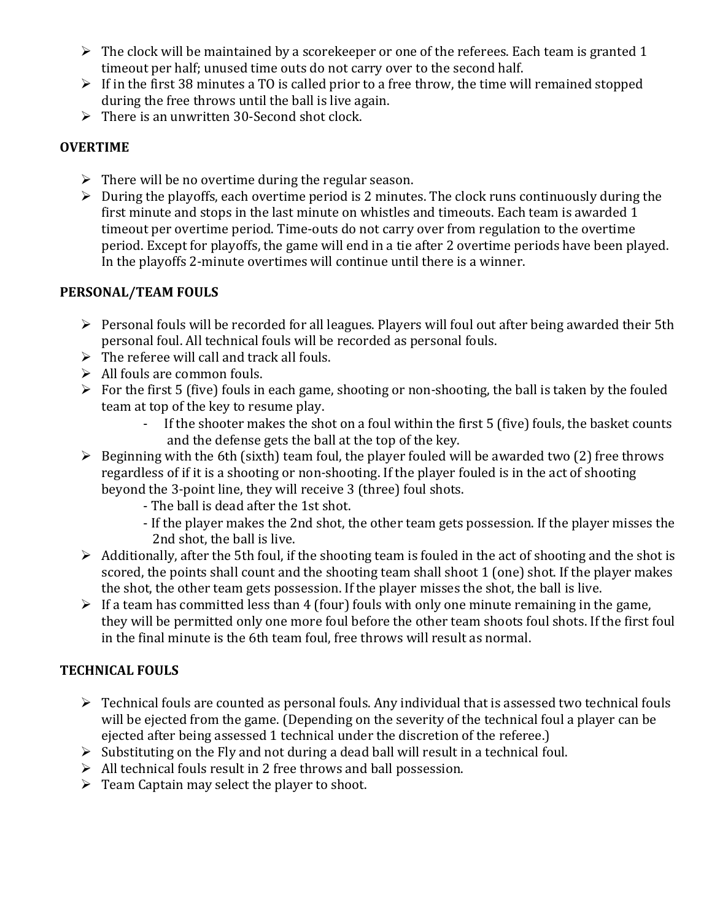- $\triangleright$  The clock will be maintained by a scorekeeper or one of the referees. Each team is granted 1 timeout per half; unused time outs do not carry over to the second half.
- $\triangleright$  If in the first 38 minutes a TO is called prior to a free throw, the time will remained stopped during the free throws until the ball is live again.
- $\triangleright$  There is an unwritten 30-Second shot clock.

# **OVERTIME**

- $\triangleright$  There will be no overtime during the regular season.
- $\triangleright$  During the playoffs, each overtime period is 2 minutes. The clock runs continuously during the first minute and stops in the last minute on whistles and timeouts. Each team is awarded 1 timeout per overtime period. Time-outs do not carry over from regulation to the overtime period. Except for playoffs, the game will end in a tie after 2 overtime periods have been played. In the playoffs 2-minute overtimes will continue until there is a winner.

# **PERSONAL/TEAM FOULS**

- $\triangleright$  Personal fouls will be recorded for all leagues. Players will foul out after being awarded their 5th personal foul. All technical fouls will be recorded as personal fouls.
- $\triangleright$  The referee will call and track all fouls.
- $\triangleright$  All fouls are common fouls.
- $\triangleright$  For the first 5 (five) fouls in each game, shooting or non-shooting, the ball is taken by the fouled team at top of the key to resume play.
	- If the shooter makes the shot on a foul within the first 5 (five) fouls, the basket counts and the defense gets the ball at the top of the key.
- $\triangleright$  Beginning with the 6th (sixth) team foul, the player fouled will be awarded two (2) free throws regardless of if it is a shooting or non-shooting. If the player fouled is in the act of shooting beyond the 3-point line, they will receive 3 (three) foul shots.
	- The ball is dead after the 1st shot.
	- If the player makes the 2nd shot, the other team gets possession. If the player misses the 2nd shot, the ball is live.
- $\triangleright$  Additionally, after the 5th foul, if the shooting team is fouled in the act of shooting and the shot is scored, the points shall count and the shooting team shall shoot 1 (one) shot. If the player makes the shot, the other team gets possession. If the player misses the shot, the ball is live.
- $\triangleright$  If a team has committed less than 4 (four) fouls with only one minute remaining in the game, they will be permitted only one more foul before the other team shoots foul shots. If the first foul in the final minute is the 6th team foul, free throws will result as normal.

# **TECHNICAL FOULS**

- $\triangleright$  Technical fouls are counted as personal fouls. Any individual that is assessed two technical fouls will be ejected from the game. (Depending on the severity of the technical foul a player can be ejected after being assessed 1 technical under the discretion of the referee.)
- $\triangleright$  Substituting on the Fly and not during a dead ball will result in a technical foul.
- $\triangleright$  All technical fouls result in 2 free throws and ball possession.
- $\triangleright$  Team Captain may select the player to shoot.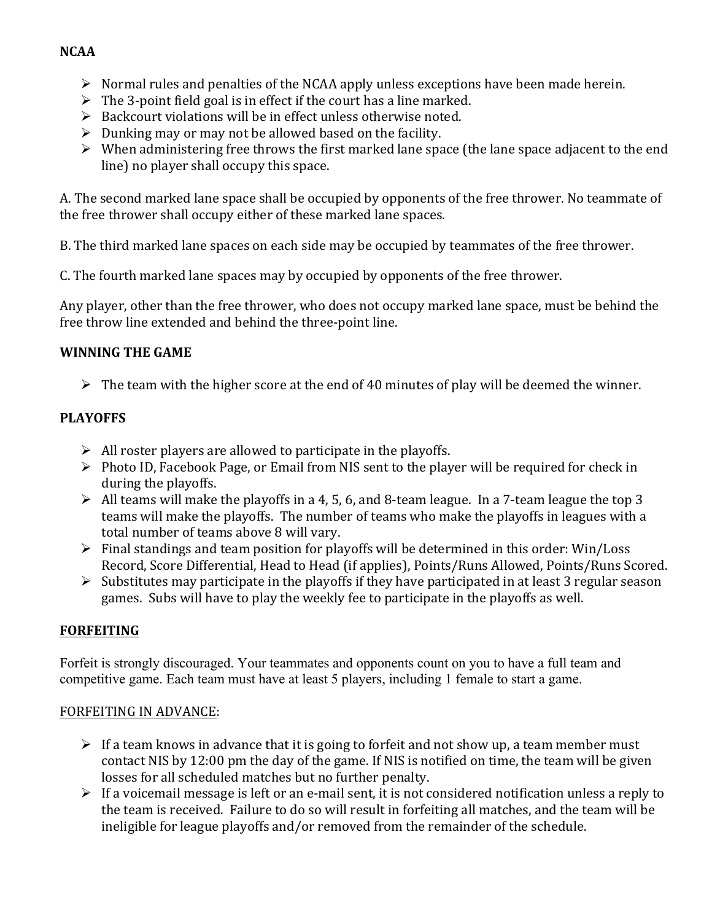# **NCAA**

- $\triangleright$  Normal rules and penalties of the NCAA apply unless exceptions have been made herein.
- $\triangleright$  The 3-point field goal is in effect if the court has a line marked.
- $\triangleright$  Backcourt violations will be in effect unless otherwise noted.
- $\triangleright$  Dunking may or may not be allowed based on the facility.
- $\triangleright$  When administering free throws the first marked lane space (the lane space adjacent to the end line) no player shall occupy this space.

A. The second marked lane space shall be occupied by opponents of the free thrower. No teammate of the free thrower shall occupy either of these marked lane spaces.

B. The third marked lane spaces on each side may be occupied by teammates of the free thrower.

C. The fourth marked lane spaces may by occupied by opponents of the free thrower.

Any player, other than the free thrower, who does not occupy marked lane space, must be behind the free throw line extended and behind the three-point line.

### **WINNING THE GAME**

 $\triangleright$  The team with the higher score at the end of 40 minutes of play will be deemed the winner.

# **PLAYOFFS**

- $\triangleright$  All roster players are allowed to participate in the playoffs.
- $\triangleright$  Photo ID, Facebook Page, or Email from NIS sent to the player will be required for check in during the playoffs.
- $\triangleright$  All teams will make the playoffs in a 4, 5, 6, and 8-team league. In a 7-team league the top 3 teams will make the playoffs. The number of teams who make the playoffs in leagues with a total number of teams above 8 will vary.
- $\triangleright$  Final standings and team position for playoffs will be determined in this order: Win/Loss Record, Score Differential, Head to Head (if applies), Points/Runs Allowed, Points/Runs Scored.
- $\triangleright$  Substitutes may participate in the playoffs if they have participated in at least 3 regular season games. Subs will have to play the weekly fee to participate in the playoffs as well.

# **FORFEITING**

Forfeit is strongly discouraged. Your teammates and opponents count on you to have a full team and competitive game. Each team must have at least 5 players, including 1 female to start a game.

### FORFEITING IN ADVANCE:

- $\triangleright$  If a team knows in advance that it is going to forfeit and not show up, a team member must contact NIS by 12:00 pm the day of the game. If NIS is notified on time, the team will be given losses for all scheduled matches but no further penalty.
- $\triangleright$  If a voicemail message is left or an e-mail sent, it is not considered notification unless a reply to the team is received. Failure to do so will result in forfeiting all matches, and the team will be ineligible for league playoffs and/or removed from the remainder of the schedule.